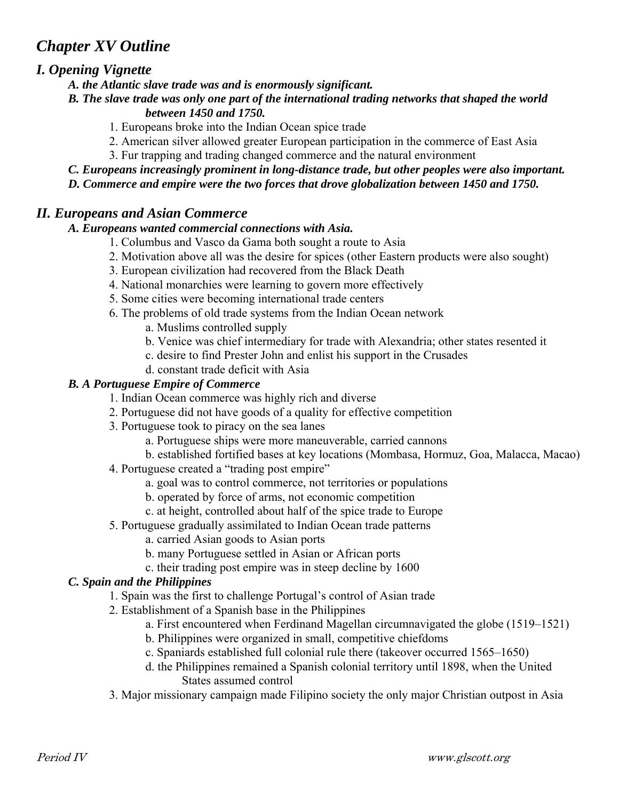# *Chapter XV Outline*

# *I. Opening Vignette*

- *A. the Atlantic slave trade was and is enormously significant.*
- *B. The slave trade was only one part of the international trading networks that shaped the world*

# *between 1450 and 1750.*

- 1. Europeans broke into the Indian Ocean spice trade
- 2. American silver allowed greater European participation in the commerce of East Asia
- 3. Fur trapping and trading changed commerce and the natural environment
- *C. Europeans increasingly prominent in long-distance trade, but other peoples were also important.*
- *D. Commerce and empire were the two forces that drove globalization between 1450 and 1750.*

# *II. Europeans and Asian Commerce*

#### *A. Europeans wanted commercial connections with Asia.*

- 1. Columbus and Vasco da Gama both sought a route to Asia
- 2. Motivation above all was the desire for spices (other Eastern products were also sought)
- 3. European civilization had recovered from the Black Death
- 4. National monarchies were learning to govern more effectively
- 5. Some cities were becoming international trade centers
- 6. The problems of old trade systems from the Indian Ocean network
	- a. Muslims controlled supply
	- b. Venice was chief intermediary for trade with Alexandria; other states resented it
	- c. desire to find Prester John and enlist his support in the Crusades
	- d. constant trade deficit with Asia

# *B. A Portuguese Empire of Commerce*

- 1. Indian Ocean commerce was highly rich and diverse
- 2. Portuguese did not have goods of a quality for effective competition
- 3. Portuguese took to piracy on the sea lanes
	- a. Portuguese ships were more maneuverable, carried cannons
	- b. established fortified bases at key locations (Mombasa, Hormuz, Goa, Malacca, Macao)
- 4. Portuguese created a "trading post empire"
	- a. goal was to control commerce, not territories or populations
	- b. operated by force of arms, not economic competition
	- c. at height, controlled about half of the spice trade to Europe
- 5. Portuguese gradually assimilated to Indian Ocean trade patterns
	- a. carried Asian goods to Asian ports
	- b. many Portuguese settled in Asian or African ports
	- c. their trading post empire was in steep decline by 1600

#### *C. Spain and the Philippines*

- 1. Spain was the first to challenge Portugal's control of Asian trade
- 2. Establishment of a Spanish base in the Philippines
	- a. First encountered when Ferdinand Magellan circumnavigated the globe (1519–1521)
	- b. Philippines were organized in small, competitive chiefdoms
	- c. Spaniards established full colonial rule there (takeover occurred 1565–1650)
	- d. the Philippines remained a Spanish colonial territory until 1898, when the United States assumed control
- 3. Major missionary campaign made Filipino society the only major Christian outpost in Asia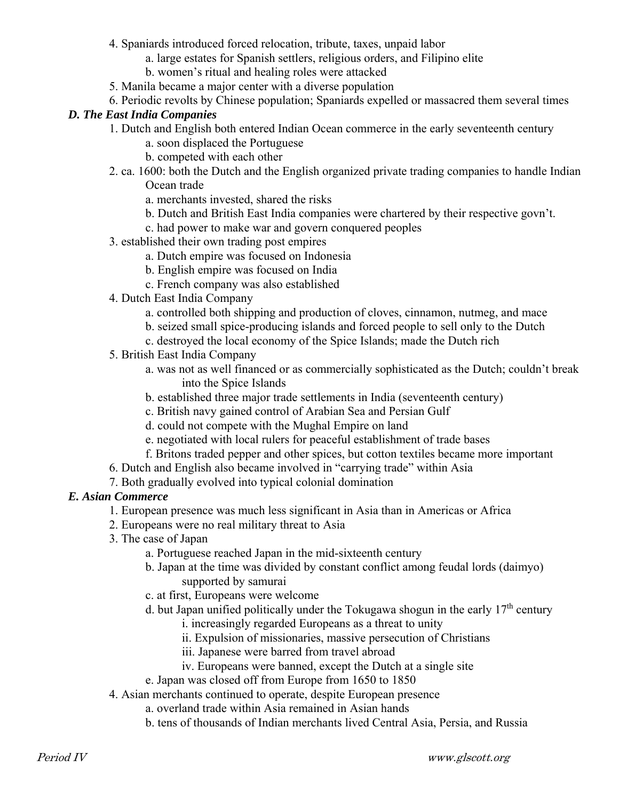- 4. Spaniards introduced forced relocation, tribute, taxes, unpaid labor
	- a. large estates for Spanish settlers, religious orders, and Filipino elite
	- b. women's ritual and healing roles were attacked
- 5. Manila became a major center with a diverse population
- 6. Periodic revolts by Chinese population; Spaniards expelled or massacred them several times

#### *D. The East India Companies*

- 1. Dutch and English both entered Indian Ocean commerce in the early seventeenth century
	- a. soon displaced the Portuguese
	- b. competed with each other
- 2. ca. 1600: both the Dutch and the English organized private trading companies to handle Indian Ocean trade
	- a. merchants invested, shared the risks
	- b. Dutch and British East India companies were chartered by their respective govn't.
	- c. had power to make war and govern conquered peoples
- 3. established their own trading post empires
	- a. Dutch empire was focused on Indonesia
	- b. English empire was focused on India
	- c. French company was also established
- 4. Dutch East India Company
	- a. controlled both shipping and production of cloves, cinnamon, nutmeg, and mace
	- b. seized small spice-producing islands and forced people to sell only to the Dutch
	- c. destroyed the local economy of the Spice Islands; made the Dutch rich
- 5. British East India Company
	- a. was not as well financed or as commercially sophisticated as the Dutch; couldn't break into the Spice Islands
	- b. established three major trade settlements in India (seventeenth century)
	- c. British navy gained control of Arabian Sea and Persian Gulf
	- d. could not compete with the Mughal Empire on land
	- e. negotiated with local rulers for peaceful establishment of trade bases
	- f. Britons traded pepper and other spices, but cotton textiles became more important
- 6. Dutch and English also became involved in "carrying trade" within Asia
- 7. Both gradually evolved into typical colonial domination

#### *E. Asian Commerce*

- 1. European presence was much less significant in Asia than in Americas or Africa
- 2. Europeans were no real military threat to Asia
- 3. The case of Japan
	- a. Portuguese reached Japan in the mid-sixteenth century
	- b. Japan at the time was divided by constant conflict among feudal lords (daimyo) supported by samurai
	- c. at first, Europeans were welcome
	- d. but Japan unified politically under the Tokugawa shogun in the early  $17<sup>th</sup>$  century
		- i. increasingly regarded Europeans as a threat to unity
		- ii. Expulsion of missionaries, massive persecution of Christians
		- iii. Japanese were barred from travel abroad
		- iv. Europeans were banned, except the Dutch at a single site
	- e. Japan was closed off from Europe from 1650 to 1850
- 4. Asian merchants continued to operate, despite European presence
	- a. overland trade within Asia remained in Asian hands
	- b. tens of thousands of Indian merchants lived Central Asia, Persia, and Russia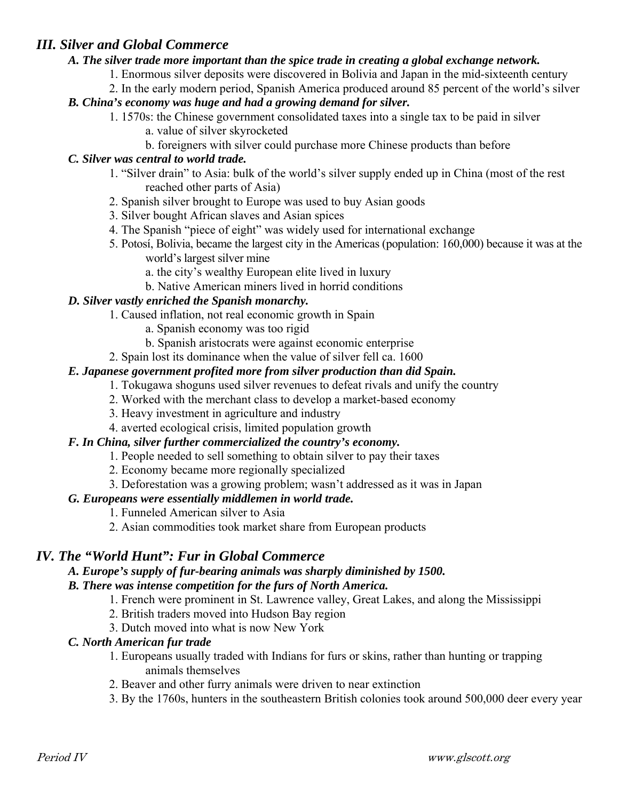# *III. Silver and Global Commerce*

#### *A. The silver trade more important than the spice trade in creating a global exchange network.*

- 1. Enormous silver deposits were discovered in Bolivia and Japan in the mid-sixteenth century
- 2. In the early modern period, Spanish America produced around 85 percent of the world's silver

#### *B. China's economy was huge and had a growing demand for silver.*

- 1. 1570s: the Chinese government consolidated taxes into a single tax to be paid in silver
	- a. value of silver skyrocketed
	- b. foreigners with silver could purchase more Chinese products than before

#### *C. Silver was central to world trade.*

- 1. "Silver drain" to Asia: bulk of the world's silver supply ended up in China (most of the rest reached other parts of Asia)
- 2. Spanish silver brought to Europe was used to buy Asian goods
- 3. Silver bought African slaves and Asian spices
- 4. The Spanish "piece of eight" was widely used for international exchange
- 5. Potosí, Bolivia, became the largest city in the Americas (population: 160,000) because it was at the world's largest silver mine
	- a. the city's wealthy European elite lived in luxury
	- b. Native American miners lived in horrid conditions

# *D. Silver vastly enriched the Spanish monarchy.*

- 1. Caused inflation, not real economic growth in Spain
	- a. Spanish economy was too rigid
	- b. Spanish aristocrats were against economic enterprise
- 2. Spain lost its dominance when the value of silver fell ca. 1600

#### *E. Japanese government profited more from silver production than did Spain.*

- 1. Tokugawa shoguns used silver revenues to defeat rivals and unify the country
- 2. Worked with the merchant class to develop a market-based economy
- 3. Heavy investment in agriculture and industry
- 4. averted ecological crisis, limited population growth

# *F. In China, silver further commercialized the country's economy.*

- 1. People needed to sell something to obtain silver to pay their taxes
- 2. Economy became more regionally specialized
- 3. Deforestation was a growing problem; wasn't addressed as it was in Japan

# *G. Europeans were essentially middlemen in world trade.*

- 1. Funneled American silver to Asia
- 2. Asian commodities took market share from European products

# *IV. The "World Hunt": Fur in Global Commerce*

# *A. Europe's supply of fur-bearing animals was sharply diminished by 1500.*

#### *B. There was intense competition for the furs of North America.*

- 1. French were prominent in St. Lawrence valley, Great Lakes, and along the Mississippi
- 2. British traders moved into Hudson Bay region
- 3. Dutch moved into what is now New York

# *C. North American fur trade*

- 1. Europeans usually traded with Indians for furs or skins, rather than hunting or trapping animals themselves
- 2. Beaver and other furry animals were driven to near extinction
- 3. By the 1760s, hunters in the southeastern British colonies took around 500,000 deer every year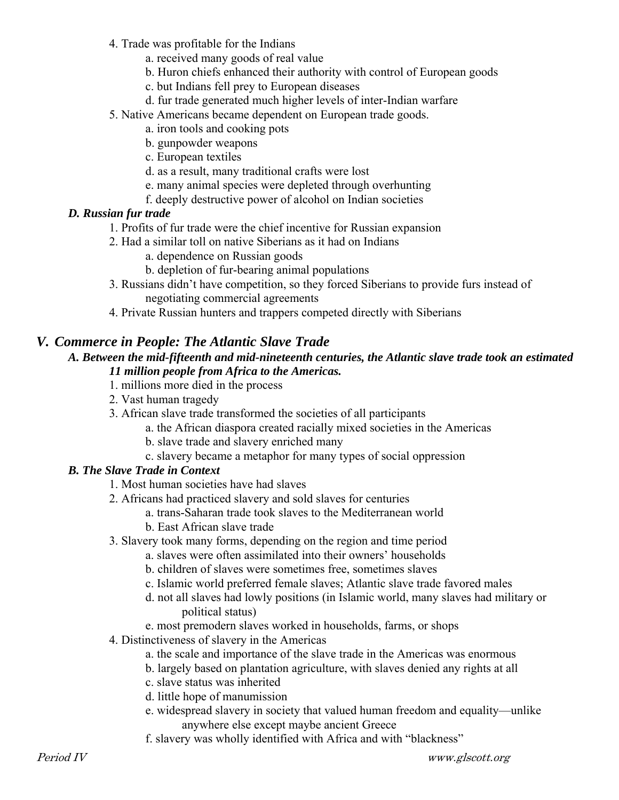- 4. Trade was profitable for the Indians
	- a. received many goods of real value
	- b. Huron chiefs enhanced their authority with control of European goods
	- c. but Indians fell prey to European diseases
	- d. fur trade generated much higher levels of inter-Indian warfare
- 5. Native Americans became dependent on European trade goods.
	- a. iron tools and cooking pots
	- b. gunpowder weapons
	- c. European textiles
	- d. as a result, many traditional crafts were lost
	- e. many animal species were depleted through overhunting
	- f. deeply destructive power of alcohol on Indian societies

#### *D. Russian fur trade*

- 1. Profits of fur trade were the chief incentive for Russian expansion
- 2. Had a similar toll on native Siberians as it had on Indians
	- a. dependence on Russian goods
	- b. depletion of fur-bearing animal populations
- 3. Russians didn't have competition, so they forced Siberians to provide furs instead of negotiating commercial agreements
- 4. Private Russian hunters and trappers competed directly with Siberians

# *V. Commerce in People: The Atlantic Slave Trade*

#### *A. Between the mid-fifteenth and mid-nineteenth centuries, the Atlantic slave trade took an estimated 11 million people from Africa to the Americas.*

- 1. millions more died in the process
- 2. Vast human tragedy
- 3. African slave trade transformed the societies of all participants
	- a. the African diaspora created racially mixed societies in the Americas
		- b. slave trade and slavery enriched many
		- c. slavery became a metaphor for many types of social oppression

#### *B. The Slave Trade in Context*

- 1. Most human societies have had slaves
- 2. Africans had practiced slavery and sold slaves for centuries
	- a. trans-Saharan trade took slaves to the Mediterranean world
	- b. East African slave trade
- 3. Slavery took many forms, depending on the region and time period
	- a. slaves were often assimilated into their owners' households
	- b. children of slaves were sometimes free, sometimes slaves
	- c. Islamic world preferred female slaves; Atlantic slave trade favored males
	- d. not all slaves had lowly positions (in Islamic world, many slaves had military or political status)
	- e. most premodern slaves worked in households, farms, or shops
- 4. Distinctiveness of slavery in the Americas
	- a. the scale and importance of the slave trade in the Americas was enormous
	- b. largely based on plantation agriculture, with slaves denied any rights at all
	- c. slave status was inherited
	- d. little hope of manumission
	- e. widespread slavery in society that valued human freedom and equality—unlike anywhere else except maybe ancient Greece
	- f. slavery was wholly identified with Africa and with "blackness"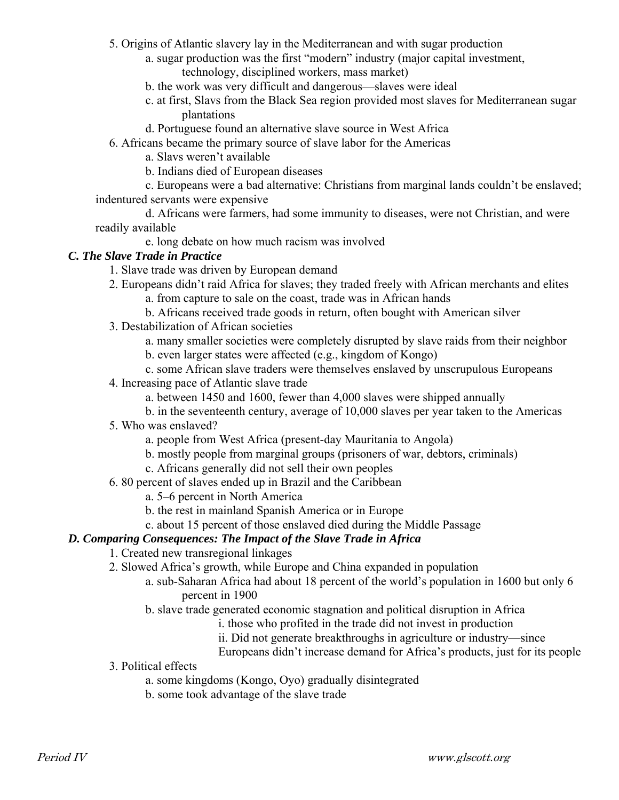5. Origins of Atlantic slavery lay in the Mediterranean and with sugar production

- a. sugar production was the first "modern" industry (major capital investment, technology, disciplined workers, mass market)
- b. the work was very difficult and dangerous—slaves were ideal
- c. at first, Slavs from the Black Sea region provided most slaves for Mediterranean sugar plantations
- d. Portuguese found an alternative slave source in West Africa
- 6. Africans became the primary source of slave labor for the Americas
	- a. Slavs weren't available
	- b. Indians died of European diseases
- c. Europeans were a bad alternative: Christians from marginal lands couldn't be enslaved; indentured servants were expensive
- d. Africans were farmers, had some immunity to diseases, were not Christian, and were readily available
	- e. long debate on how much racism was involved

#### *C. The Slave Trade in Practice*

- 1. Slave trade was driven by European demand
- 2. Europeans didn't raid Africa for slaves; they traded freely with African merchants and elites
	- a. from capture to sale on the coast, trade was in African hands
	- b. Africans received trade goods in return, often bought with American silver
- 3. Destabilization of African societies
	- a. many smaller societies were completely disrupted by slave raids from their neighbor
	- b. even larger states were affected (e.g., kingdom of Kongo)
	- c. some African slave traders were themselves enslaved by unscrupulous Europeans
- 4. Increasing pace of Atlantic slave trade
	- a. between 1450 and 1600, fewer than 4,000 slaves were shipped annually
	- b. in the seventeenth century, average of 10,000 slaves per year taken to the Americas
- 5. Who was enslaved?
	- a. people from West Africa (present-day Mauritania to Angola)
	- b. mostly people from marginal groups (prisoners of war, debtors, criminals)
	- c. Africans generally did not sell their own peoples
- 6. 80 percent of slaves ended up in Brazil and the Caribbean
	- a. 5–6 percent in North America
	- b. the rest in mainland Spanish America or in Europe
	- c. about 15 percent of those enslaved died during the Middle Passage

# *D. Comparing Consequences: The Impact of the Slave Trade in Africa*

- 1. Created new transregional linkages
- 2. Slowed Africa's growth, while Europe and China expanded in population
	- a. sub-Saharan Africa had about 18 percent of the world's population in 1600 but only 6 percent in 1900
	- b. slave trade generated economic stagnation and political disruption in Africa
		- i. those who profited in the trade did not invest in production
		- ii. Did not generate breakthroughs in agriculture or industry—since
		- Europeans didn't increase demand for Africa's products, just for its people
- 3. Political effects
	- a. some kingdoms (Kongo, Oyo) gradually disintegrated
	- b. some took advantage of the slave trade